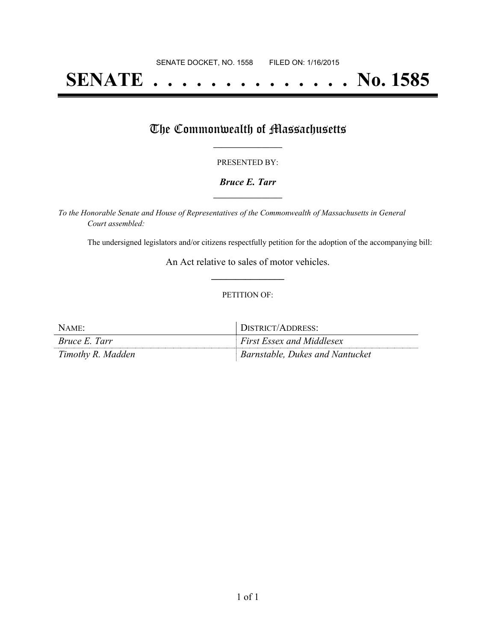# **SENATE . . . . . . . . . . . . . . No. 1585**

### The Commonwealth of Massachusetts

#### PRESENTED BY:

#### *Bruce E. Tarr* **\_\_\_\_\_\_\_\_\_\_\_\_\_\_\_\_\_**

*To the Honorable Senate and House of Representatives of the Commonwealth of Massachusetts in General Court assembled:*

The undersigned legislators and/or citizens respectfully petition for the adoption of the accompanying bill:

An Act relative to sales of motor vehicles. **\_\_\_\_\_\_\_\_\_\_\_\_\_\_\_**

#### PETITION OF:

| $N$ AME:             | DISTRICT/ADDRESS:                |
|----------------------|----------------------------------|
| <i>Bruce E. Tarr</i> | <b>First Essex and Middlesex</b> |
| Timothy R. Madden    | Barnstable, Dukes and Nantucket  |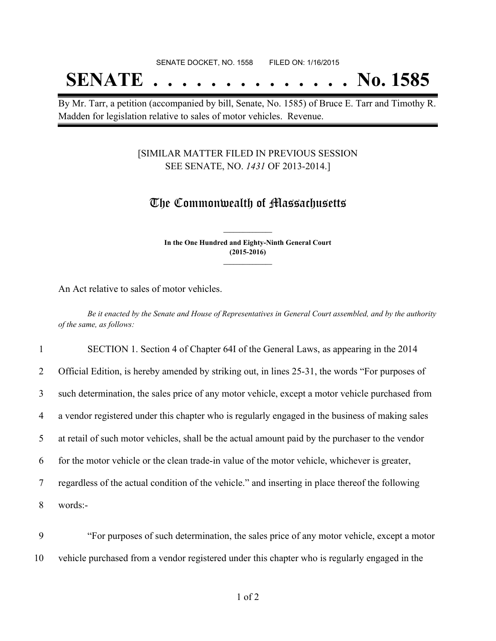## SENATE DOCKET, NO. 1558 FILED ON: 1/16/2015

# **SENATE . . . . . . . . . . . . . . No. 1585**

By Mr. Tarr, a petition (accompanied by bill, Senate, No. 1585) of Bruce E. Tarr and Timothy R. Madden for legislation relative to sales of motor vehicles. Revenue.

#### [SIMILAR MATTER FILED IN PREVIOUS SESSION SEE SENATE, NO. *1431* OF 2013-2014.]

### The Commonwealth of Massachusetts

**In the One Hundred and Eighty-Ninth General Court (2015-2016) \_\_\_\_\_\_\_\_\_\_\_\_\_\_\_**

**\_\_\_\_\_\_\_\_\_\_\_\_\_\_\_**

An Act relative to sales of motor vehicles.

Be it enacted by the Senate and House of Representatives in General Court assembled, and by the authority *of the same, as follows:*

 SECTION 1. Section 4 of Chapter 64I of the General Laws, as appearing in the 2014 Official Edition, is hereby amended by striking out, in lines 25-31, the words "For purposes of such determination, the sales price of any motor vehicle, except a motor vehicle purchased from a vendor registered under this chapter who is regularly engaged in the business of making sales at retail of such motor vehicles, shall be the actual amount paid by the purchaser to the vendor for the motor vehicle or the clean trade-in value of the motor vehicle, whichever is greater, regardless of the actual condition of the vehicle." and inserting in place thereof the following 8 words:-

9 "For purposes of such determination, the sales price of any motor vehicle, except a motor 10 vehicle purchased from a vendor registered under this chapter who is regularly engaged in the